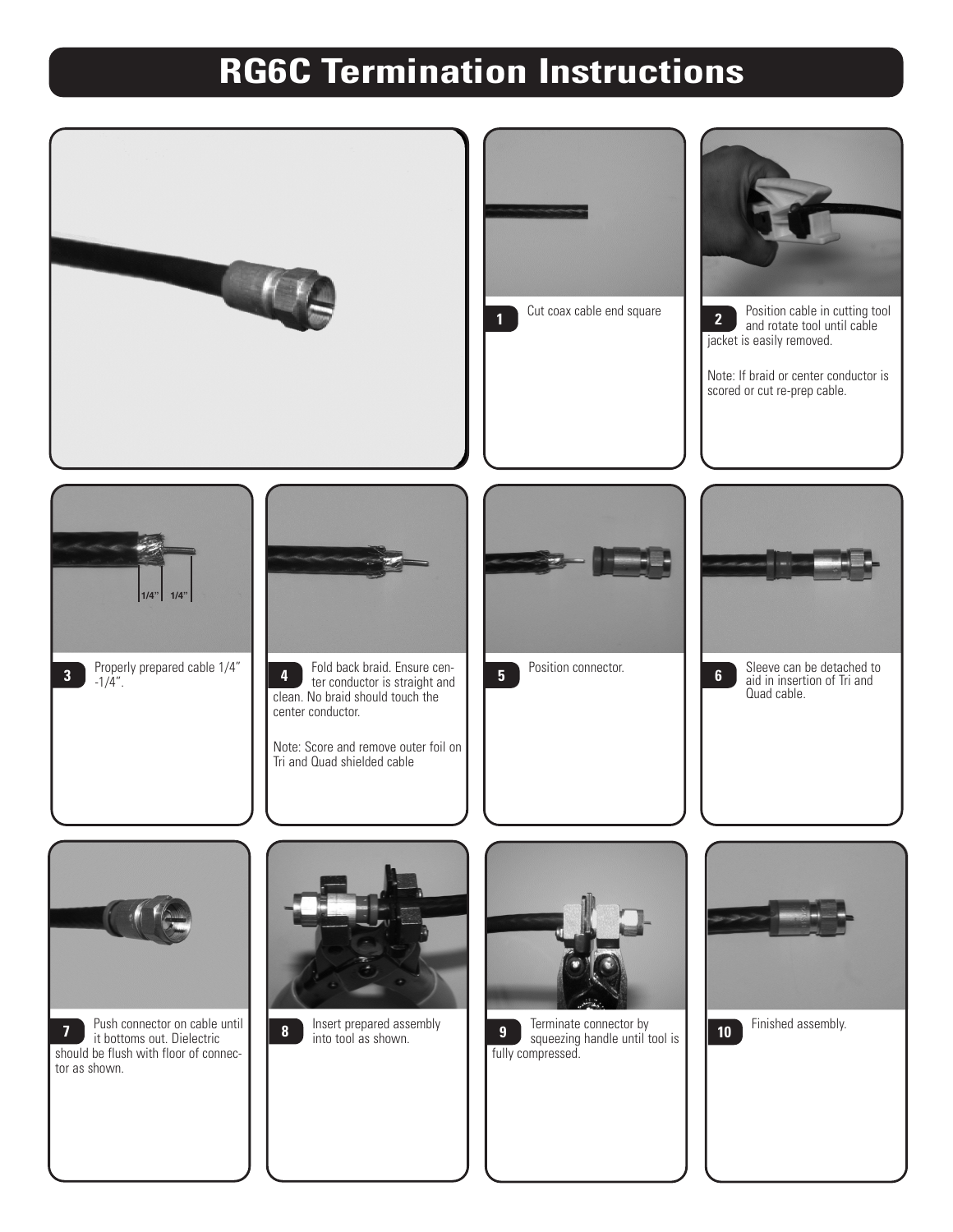## **RG6C Termination Instructions**